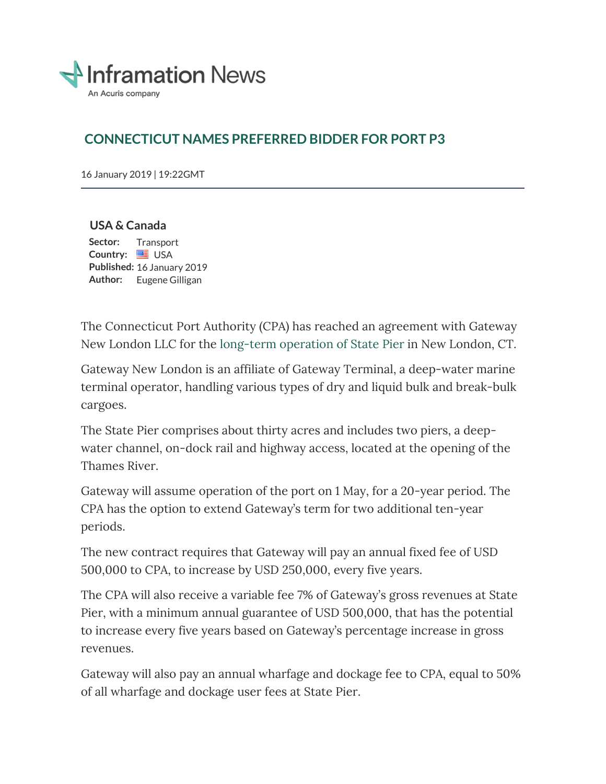

# **CONNECTICUT NAMES PREFERRED BIDDER FOR PORT P3**

16 January 2019 | 19:22GMT

## **USA & Canada**

Sector: Transport **Country:** USA **Published:** 16 January 2019 **Author:** Eugene Gilligan

The Connecticut Port Authority (CPA) has reached an agreement with Gateway New London LLC for the long-term operation of State Pier in New London, CT.

Gateway New London is an affiliate of Gateway Terminal, a deep-water marine terminal operator, handling various types of dry and liquid bulk and break-bulk cargoes.

The State Pier comprises about thirty acres and includes two piers, a deepwater channel, on-dock rail and highway access, located at the opening of the Thames River.

Gateway will assume operation of the port on 1 May, for a 20-year period. The CPA has the option to extend Gateway's term for two additional ten-year periods.

The new contract requires that Gateway will pay an annual fixed fee of USD 500,000 to CPA, to increase by USD 250,000, every five years.

The CPA will also receive a variable fee 7% of Gateway's gross revenues at State Pier, with a minimum annual guarantee of USD 500,000, that has the potential to increase every five years based on Gateway's percentage increase in gross revenues.

Gateway will also pay an annual wharfage and dockage fee to CPA, equal to 50% of all wharfage and dockage user fees at State Pier.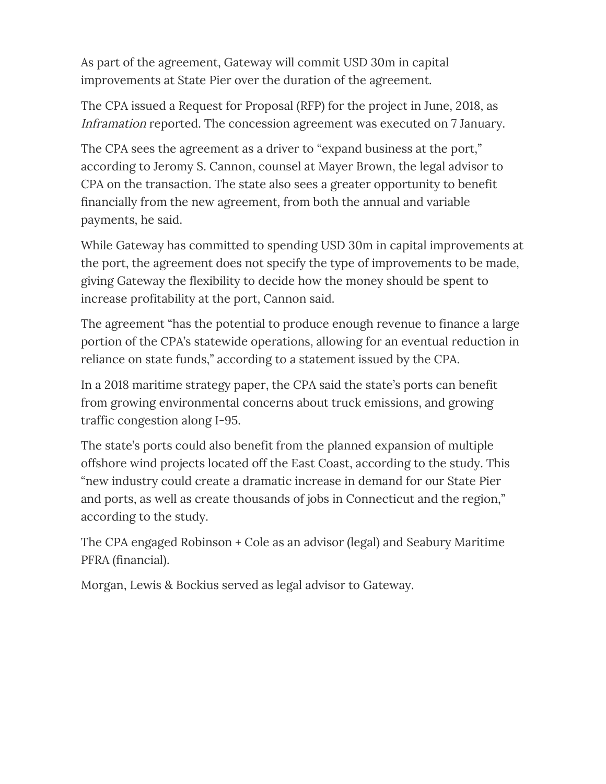As part of the agreement, Gateway will commit USD 30m in capital improvements at State Pier over the duration of the agreement.

The CPA issued a Request for Proposal (RFP) for the project in June, 2018, as Inframation reported. The concession agreement was executed on 7 January.

The CPA sees the agreement as a driver to "expand business at the port," according to Jeromy S. Cannon, counsel at Mayer Brown, the legal advisor to CPA on the transaction. The state also sees a greater opportunity to benefit financially from the new agreement, from both the annual and variable payments, he said.

While Gateway has committed to spending USD 30m in capital improvements at the port, the agreement does not specify the type of improvements to be made, giving Gateway the flexibility to decide how the money should be spent to increase profitability at the port, Cannon said.

The agreement "has the potential to produce enough revenue to finance a large portion of the CPA's statewide operations, allowing for an eventual reduction in reliance on state funds," according to a statement issued by the CPA.

In a 2018 maritime strategy paper, the CPA said the state's ports can benefit from growing environmental concerns about truck emissions, and growing traffic congestion along I-95.

The state's ports could also benefit from the planned expansion of multiple offshore wind projects located off the East Coast, according to the study. This "new industry could create a dramatic increase in demand for our State Pier and ports, as well as create thousands of jobs in Connecticut and the region," according to the study.

The CPA engaged Robinson + Cole as an advisor (legal) and Seabury Maritime PFRA (financial).

Morgan, Lewis & Bockius served as legal advisor to Gateway.